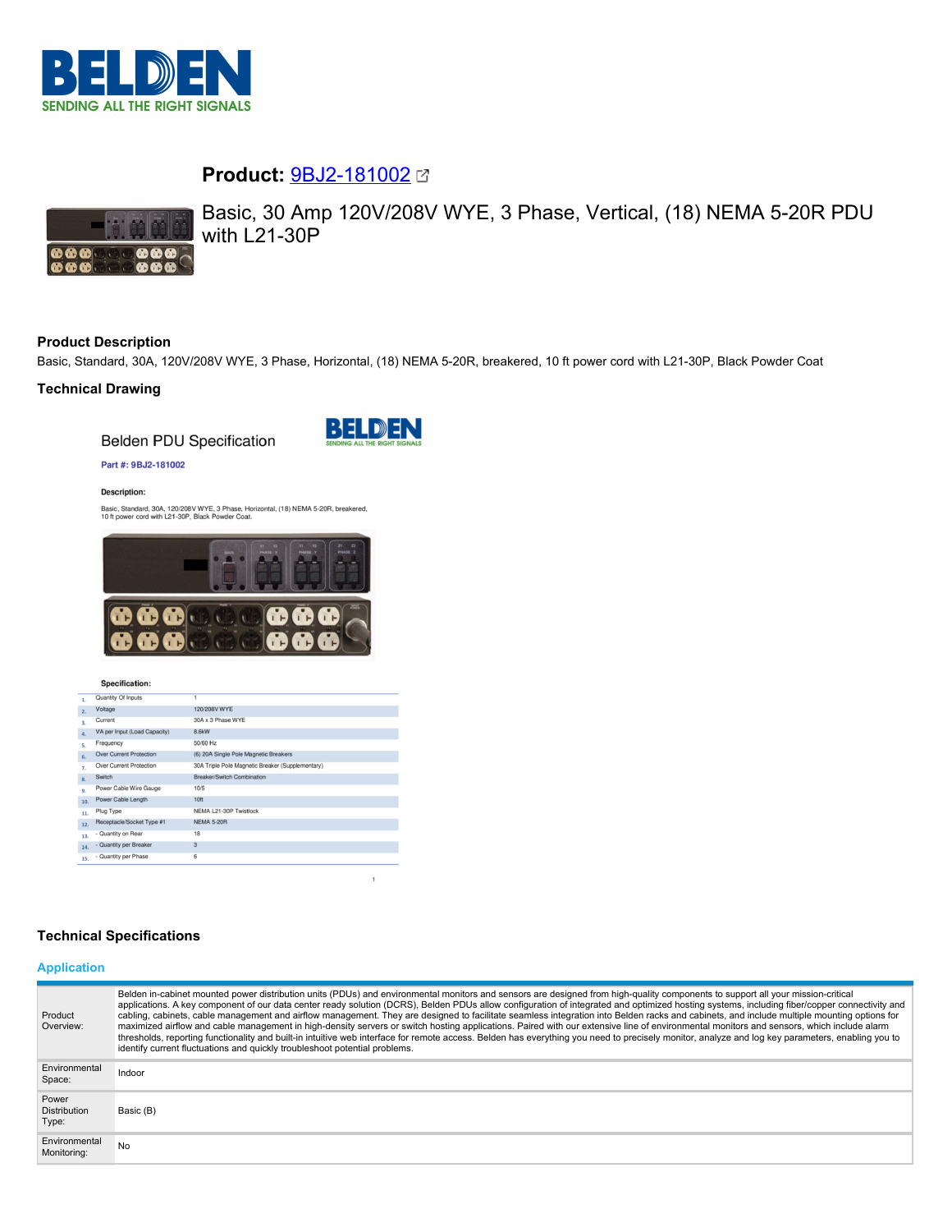

# **Product:** [9BJ2-181002](https://catalog.belden.com/index.cfm?event=pd&p=PF_9BJ2181002&tab=downloads)



Basic, 30 Amp 120V/208V WYE, 3 Phase, Vertical, (18) NEMA 5-20R PDU with L21-30P

# **Product Description**

Basic, Standard, 30A, 120V/208V WYE, 3 Phase, Horizontal, (18) NEMA 5-20R, breakered, 10 ft power cord with L21-30P, Black Powder Coat

## **Technical Drawing**

**Belden PDU Specification** 



 $\overline{1}$ 

#### Part #: 9BJ2-181002

#### **Description:**

Basic, Standard, 30A, 120/208V WYE, 3 Phase, Horizontal, (18) NEMA 5-20R, breakered,<br>10 ft power cord with L21-30P, Black Powder Coat.



#### Specification:

| 1.               | Quantity Of Inputs             | 1                                                |
|------------------|--------------------------------|--------------------------------------------------|
| 2.               | Voltage                        | 120/208V WYE                                     |
| $\overline{3}$ . | Current                        | 30A x 3 Phase WYE                                |
| $\Delta$ .       | VA per Input (Load Capacity)   | 8.6kW                                            |
| s.               | Frequency                      | 50/60 Hz                                         |
| 6.               | <b>Over Current Protection</b> | (6) 20A Single Pole Magnetic Breakers            |
| 7.               | Over Current Protection        | 30A Triple Pole Magnetic Breaker (Supplementary) |
| $\mathbf{R}$     | Switch                         | Breaker/Switch Combination                       |
| 9.               | Power Cable Wire Gauge         | 10/5                                             |
| 10.              | Power Cable Length             | 10 <sub>ft</sub>                                 |
| 11.              | Plug Type                      | NEMA L21-30P Twistlock                           |
| 12.              | Receptacle/Socket Type #1      | <b>NEMA 5-20R</b>                                |
| 13.              | - Quantity on Rear             | 18                                               |
| 14.              | - Quantity per Breaker         | 3                                                |
| 15.              | - Quantity per Phase           | 6                                                |

# **Technical Specifications**

# **Application**

| Product<br>Overview:                  | Belden in-cabinet mounted power distribution units (PDUs) and environmental monitors and sensors are designed from high-quality components to support all your mission-critical<br>applications. A key component of our data center ready solution (DCRS), Belden PDUs allow configuration of integrated and optimized hosting systems, including fiber/copper connectivity and<br>cabling, cabinets, cable management and airflow management. They are designed to facilitate seamless integration into Belden racks and cabinets, and include multiple mounting options for<br>maximized airflow and cable management in high-density servers or switch hosting applications. Paired with our extensive line of environmental monitors and sensors, which include alarm<br>thresholds, reporting functionality and built-in intuitive web interface for remote access. Belden has everything you need to precisely monitor, analyze and log key parameters, enabling you to<br>identify current fluctuations and quickly troubleshoot potential problems. |
|---------------------------------------|-------------------------------------------------------------------------------------------------------------------------------------------------------------------------------------------------------------------------------------------------------------------------------------------------------------------------------------------------------------------------------------------------------------------------------------------------------------------------------------------------------------------------------------------------------------------------------------------------------------------------------------------------------------------------------------------------------------------------------------------------------------------------------------------------------------------------------------------------------------------------------------------------------------------------------------------------------------------------------------------------------------------------------------------------------------|
| Environmental<br>Space:               | Indoor                                                                                                                                                                                                                                                                                                                                                                                                                                                                                                                                                                                                                                                                                                                                                                                                                                                                                                                                                                                                                                                      |
| Power<br><b>Distribution</b><br>Type: | Basic (B)                                                                                                                                                                                                                                                                                                                                                                                                                                                                                                                                                                                                                                                                                                                                                                                                                                                                                                                                                                                                                                                   |
| Environmental<br>Monitoring:          | No                                                                                                                                                                                                                                                                                                                                                                                                                                                                                                                                                                                                                                                                                                                                                                                                                                                                                                                                                                                                                                                          |